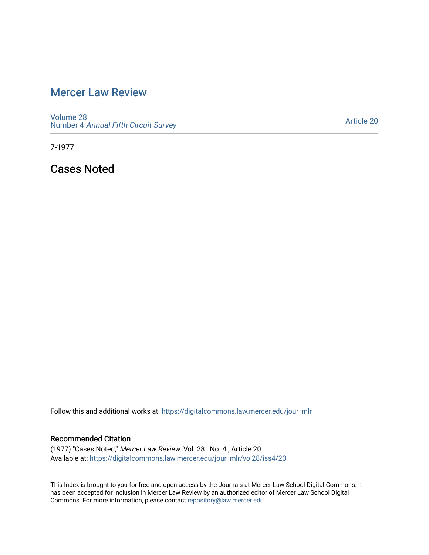## [Mercer Law Review](https://digitalcommons.law.mercer.edu/jour_mlr)

[Volume 28](https://digitalcommons.law.mercer.edu/jour_mlr/vol28) Number 4 [Annual Fifth Circuit Survey](https://digitalcommons.law.mercer.edu/jour_mlr/vol28/iss4)

[Article 20](https://digitalcommons.law.mercer.edu/jour_mlr/vol28/iss4/20) 

7-1977

Cases Noted

Follow this and additional works at: [https://digitalcommons.law.mercer.edu/jour\\_mlr](https://digitalcommons.law.mercer.edu/jour_mlr?utm_source=digitalcommons.law.mercer.edu%2Fjour_mlr%2Fvol28%2Fiss4%2F20&utm_medium=PDF&utm_campaign=PDFCoverPages)

## Recommended Citation

(1977) "Cases Noted," Mercer Law Review: Vol. 28 : No. 4 , Article 20. Available at: [https://digitalcommons.law.mercer.edu/jour\\_mlr/vol28/iss4/20](https://digitalcommons.law.mercer.edu/jour_mlr/vol28/iss4/20?utm_source=digitalcommons.law.mercer.edu%2Fjour_mlr%2Fvol28%2Fiss4%2F20&utm_medium=PDF&utm_campaign=PDFCoverPages) 

This Index is brought to you for free and open access by the Journals at Mercer Law School Digital Commons. It has been accepted for inclusion in Mercer Law Review by an authorized editor of Mercer Law School Digital Commons. For more information, please contact [repository@law.mercer.edu.](mailto:repository@law.mercer.edu)